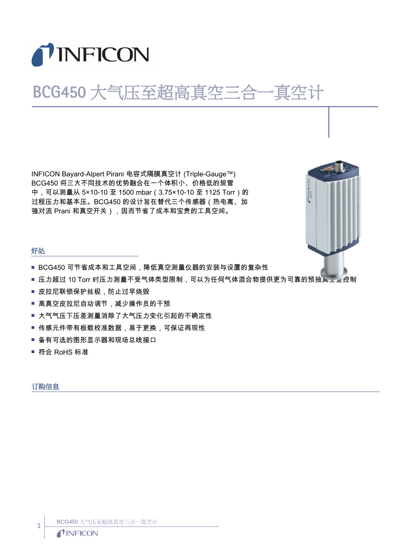

# BCG450 大气压至超高真空三合一真空计

INFICON Bayard-Alpert Pirani 电容式隔膜真空计 (Triple-Gauge™) BCG450 将三大不同技术的优势融合在一个体积小、价格低的规管 中,可以测量从 5×10-10 至 1500 mbar (3.75×10-10 至 1125 Torr ) 的 过程压力和基本压。BCG450 的设计旨在替代三个传感器(热电离、加 强对流 Prani 和真空开关),因而节省了成本和宝贵的工具空间。



#### 好处

- BCG450 可节省成本和工具空间,降低真空测量仪器的安装与设置的复杂性
- 压力超过 10 Torr 时压力测量不受气体类型限制,可以为任何气体混合物提供更为可靠的预抽真三室控制
- 皮拉尼联锁保护丝极,防止过早烧毁
- 高真空皮拉尼自动调节,减少操作员的干预
- 大气气压下压差测量消除了大气压力变化引起的不确定性
- 传感元件带有板载校准数据,易于更换,可保证再现性
- 备有可选的图形显示器和现场总线接口
- 符合 RoHS 标准

#### 订购信息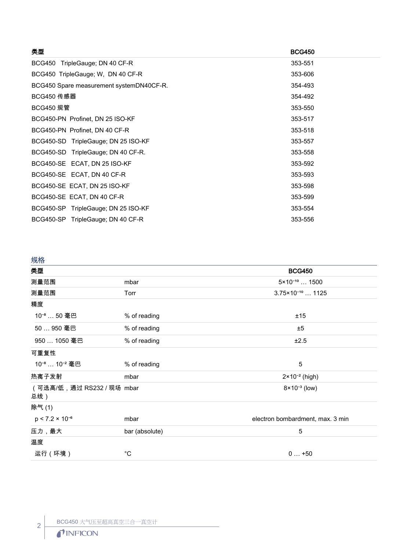| 类型                                       | <b>BCG450</b> |
|------------------------------------------|---------------|
| BCG450 TripleGauge; DN 40 CF-R           | 353-551       |
| BCG450 TripleGauge; W, DN 40 CF-R        | 353-606       |
| BCG450 Spare measurement systemDN40CF-R. | 354-493       |
| BCG450 传感器                               | 354-492       |
| BCG450 规管                                | 353-550       |
| BCG450-PN Profinet, DN 25 ISO-KF         | 353-517       |
| BCG450-PN Profinet, DN 40 CF-R           | 353-518       |
| BCG450-SD TripleGauge; DN 25 ISO-KF      | 353-557       |
| BCG450-SD TripleGauge; DN 40 CF-R.       | 353-558       |
| BCG450-SE ECAT, DN 25 ISO-KF             | 353-592       |
| BCG450-SE ECAT, DN 40 CF-R               | 353-593       |
| BCG450-SE ECAT, DN 25 ISO-KF             | 353-598       |
| BCG450-SE ECAT, DN 40 CF-R               | 353-599       |
| BCG450-SP TripleGauge; DN 25 ISO-KF      | 353-554       |
| BCG450-SP TripleGauge; DN 40 CF-R        | 353-556       |
|                                          |               |

## 规格

| 类型                                   |                | <b>BCG450</b>                    |
|--------------------------------------|----------------|----------------------------------|
| 测量范围                                 | mbar           | $5 \times 10^{-10}$ 1500         |
| 测量范围                                 | Torr           | $3.75 \times 10^{-10}$ 1125      |
| 精度                                   |                |                                  |
| 10 * … 50 毫巴                         | % of reading   | ±15                              |
| 50 … 950 毫巴                          | % of reading   | ±5                               |
| 950 … 1050 毫巴                        | % of reading   | ±2.5                             |
| 可重复性                                 |                |                                  |
| 10 <sup>-8</sup> 10 <sup>-2</sup> 毫巴 | % of reading   | $\overline{5}$                   |
| 热离子发射                                | mbar           | $2 \times 10^{-2}$ (high)        |
| (可选高/低, 通过 RS232 / 现场 mbar<br>总线)    |                | $8 \times 10^{-3}$ (low)         |
| 除气(1)                                |                |                                  |
| $p < 7.2 \times 10^{-6}$             | mbar           | electron bombardment, max. 3 min |
| 压力,最大                                | bar (absolute) | $\overline{5}$                   |
| 温度                                   |                |                                  |
| 运行 (环境)                              | $^{\circ}C$    | $0+50$                           |

2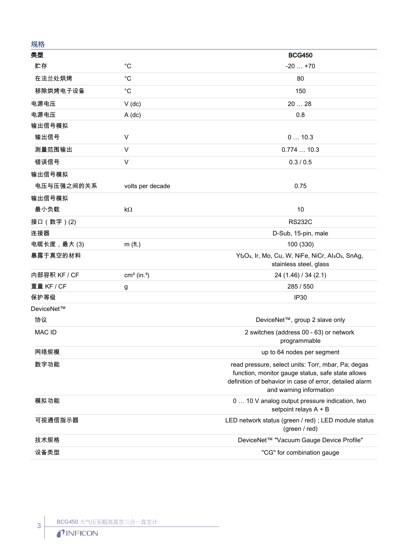| 规格           |                           |                                                                                                                                                                                               |
|--------------|---------------------------|-----------------------------------------------------------------------------------------------------------------------------------------------------------------------------------------------|
| 类型           |                           | <b>BCG450</b>                                                                                                                                                                                 |
| 贮存           | $^{\circ}C$               | $-20+70$                                                                                                                                                                                      |
| 在法兰处烘烤       | $^{\circ}C$               | 80                                                                                                                                                                                            |
| 移除烘烤电子设备     | $^{\circ}C$               | 150                                                                                                                                                                                           |
| 电源电压         | $V$ (dc)                  | 2028                                                                                                                                                                                          |
| 电源电压         | $A$ (dc)                  | 0.8                                                                                                                                                                                           |
| 输出信号模拟       |                           |                                                                                                                                                                                               |
| 输出信号         | V                         | 010.3                                                                                                                                                                                         |
| 测量范围输出       | V                         | 0.77410.3                                                                                                                                                                                     |
| 错误信号         | V                         | 0.3 / 0.5                                                                                                                                                                                     |
| 输出信号模拟       |                           |                                                                                                                                                                                               |
| 电压与压强之间的关系   | volts per decade          | 0.75                                                                                                                                                                                          |
| 输出信号模拟       |                           |                                                                                                                                                                                               |
| 最小负载         | $k\Omega$                 | 10                                                                                                                                                                                            |
| 接口 (数字)(2)   |                           | <b>RS232C</b>                                                                                                                                                                                 |
| 连接器          |                           | D-Sub, 15-pin, male                                                                                                                                                                           |
| 电缆长度,最大(3)   | $m$ (ft.)                 | 100 (330)                                                                                                                                                                                     |
| 暴露于真空的材料     |                           | Yt2O3, Ir, Mo, Cu, W, NiFe, NiCr, Al2O3, SnAg,<br>stainless steel, glass                                                                                                                      |
| 内部容积 KF / CF | $cm3$ (in. <sup>3</sup> ) | 24 (1.46) / 34 (2.1)                                                                                                                                                                          |
| 重量 KF / CF   | g                         | 285 / 550                                                                                                                                                                                     |
| 保护等级         |                           | IP30                                                                                                                                                                                          |
| DeviceNet™   |                           |                                                                                                                                                                                               |
| 协议           |                           | DeviceNet™, group 2 slave only                                                                                                                                                                |
| MAC ID       |                           | 2 switches (address 00 - 63) or network<br>programmable                                                                                                                                       |
| 网络规模         |                           | up to 64 nodes per segment                                                                                                                                                                    |
| 数字功能         |                           | read pressure, select units: Torr, mbar, Pa; degas<br>function, monitor gauge status, safe state allows<br>definition of behavior in case of error, detailed alarm<br>and warning information |
| 模拟功能         |                           | 0  10 V analog output pressure indication, two<br>setpoint relays A + B                                                                                                                       |
| 可视通信指示器      |                           | LED network status (green / red) ; LED module status<br>(green / red)                                                                                                                         |
| 技术规格         |                           | DeviceNet™ "Vacuum Gauge Device Profile"                                                                                                                                                      |
| 设备类型         |                           | "CG" for combination gauge                                                                                                                                                                    |

3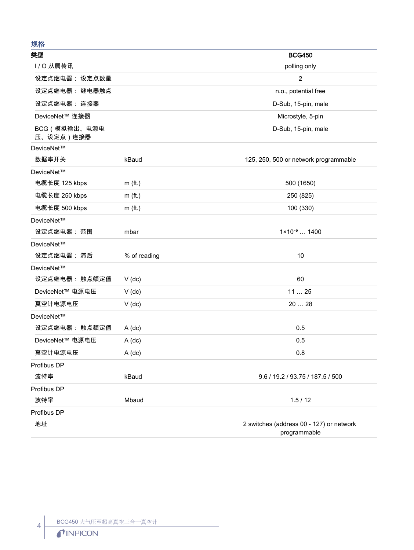## 规格

| ノンローロー                     |              |                                                          |
|----------------------------|--------------|----------------------------------------------------------|
| 类型                         |              | <b>BCG450</b>                                            |
| I/O从属传讯                    |              | polling only                                             |
| 设定点继电器: 设定点数量              |              | $\overline{2}$                                           |
| 设定点继电器: 继电器触点              |              | n.o., potential free                                     |
| 设定点继电器: 连接器                |              | D-Sub, 15-pin, male                                      |
| DeviceNet™ 连接器             |              | Microstyle, 5-pin                                        |
| BCG (模拟输出、电源电<br>压、设定点)连接器 |              | D-Sub, 15-pin, male                                      |
| DeviceNet™                 |              |                                                          |
| 数据率开关                      | kBaud        | 125, 250, 500 or network programmable                    |
| DeviceNet™                 |              |                                                          |
| 电缆长度 125 kbps              | $m$ (ft.)    | 500 (1650)                                               |
| 电缆长度 250 kbps              | $m$ (ft.)    | 250 (825)                                                |
| 电缆长度 500 kbps              | $m$ (ft.)    | 100 (330)                                                |
| DeviceNet™                 |              |                                                          |
| 设定点继电器:范围                  | mbar         | $1 \times 10^{-9}$ 1400                                  |
| DeviceNet™                 |              |                                                          |
| 设定点继电器: 滞后                 | % of reading | 10                                                       |
| DeviceNet™                 |              |                                                          |
| 设定点继电器: 触点额定值              | $V$ (dc)     | 60                                                       |
| DeviceNet™ 电源电压            | $V$ (dc)     | 1125                                                     |
| 真空计电源电压                    | $V$ (dc)     | 20  28                                                   |
| DeviceNet™                 |              |                                                          |
| 设定点继电器:触点额定值               | $A$ (dc)     | 0.5                                                      |
| DeviceNet™ 电源电压            | $A$ (dc)     | 0.5                                                      |
| 真空计电源电压                    | $A$ (dc)     | 0.8                                                      |
| Profibus DP                |              |                                                          |
| 波特率                        | kBaud        | 9.6 / 19.2 / 93.75 / 187.5 / 500                         |
| Profibus DP                |              |                                                          |
| 波特率                        | Mbaud        | 1.5/12                                                   |
| Profibus DP                |              |                                                          |
| 地址                         |              | 2 switches (address 00 - 127) or network<br>programmable |

 $\left| \begin{array}{c} 4 \end{array} \right|$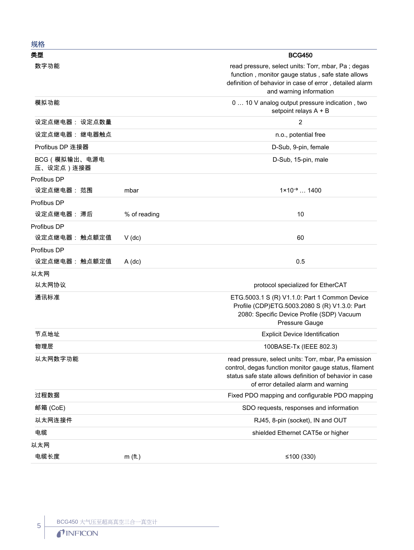| 规格                         |              |                                                                                                                                                                                                                  |
|----------------------------|--------------|------------------------------------------------------------------------------------------------------------------------------------------------------------------------------------------------------------------|
| 类型                         |              | <b>BCG450</b>                                                                                                                                                                                                    |
| 数字功能                       |              | read pressure, select units: Torr, mbar, Pa; degas<br>function, monitor gauge status, safe state allows<br>definition of behavior in case of error, detailed alarm<br>and warning information                    |
| 模拟功能                       |              | 0  10 V analog output pressure indication, two<br>setpoint relays A + B                                                                                                                                          |
| 设定点继电器: 设定点数量              |              | $\overline{2}$                                                                                                                                                                                                   |
| 设定点继电器:继电器触点               |              | n.o., potential free                                                                                                                                                                                             |
| Profibus DP 连接器            |              | D-Sub, 9-pin, female                                                                                                                                                                                             |
| BCG (模拟输出、电源电<br>压、设定点)连接器 |              | D-Sub, 15-pin, male                                                                                                                                                                                              |
| Profibus DP                |              |                                                                                                                                                                                                                  |
| 设定点继电器:范围                  | mbar         | $1 \times 10^{-9}$ 1400                                                                                                                                                                                          |
| Profibus DP                |              |                                                                                                                                                                                                                  |
| 设定点继电器: 滞后                 | % of reading | 10                                                                                                                                                                                                               |
| Profibus DP                |              |                                                                                                                                                                                                                  |
| 设定点继电器: 触点额定值              | $V$ (dc)     | 60                                                                                                                                                                                                               |
| Profibus DP                |              |                                                                                                                                                                                                                  |
| 设定点继电器: 触点额定值              | $A$ (dc)     | 0.5                                                                                                                                                                                                              |
| 以太网                        |              |                                                                                                                                                                                                                  |
| 以太网协议                      |              | protocol specialized for EtherCAT                                                                                                                                                                                |
| 通讯标准                       |              | ETG.5003.1 S (R) V1.1.0: Part 1 Common Device<br>Profile (CDP)ETG.5003.2080 S (R) V1.3.0: Part<br>2080: Specific Device Profile (SDP) Vacuum<br>Pressure Gauge                                                   |
| 节点地址                       |              | <b>Explicit Device Identification</b>                                                                                                                                                                            |
| 物理层                        |              | 100BASE-Tx (IEEE 802.3)                                                                                                                                                                                          |
| 以太网数字功能                    |              | read pressure, select units: Torr, mbar, Pa emission<br>control, degas function monitor gauge status, filament<br>status safe state allows definition of behavior in case<br>of error detailed alarm and warning |
| 过程数据                       |              | Fixed PDO mapping and configurable PDO mapping                                                                                                                                                                   |
| 邮箱 (CoE)                   |              | SDO requests, responses and information                                                                                                                                                                          |
| 以太网连接件                     |              | RJ45, 8-pin (socket), IN and OUT                                                                                                                                                                                 |
| 电缆                         |              | shielded Ethernet CAT5e or higher                                                                                                                                                                                |
| 以太网                        |              |                                                                                                                                                                                                                  |
| 电缆长度                       | $m$ (ft.)    | ≤100 $(330)$                                                                                                                                                                                                     |

5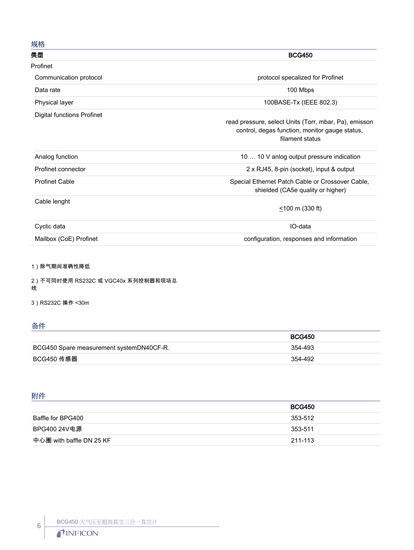### 规格

| ノンピーロー<br>类型               | <b>BCG450</b>                                                     |
|----------------------------|-------------------------------------------------------------------|
|                            |                                                                   |
| Profinet                   |                                                                   |
| Communication protocol     | protocol specalized for Profinet                                  |
| Data rate                  | 100 Mbps                                                          |
| Physical layer             | 100BASE-Tx (IEEE 802.3)                                           |
| Digital functions Profinet | read pressure, select Units (Torr, mbar, Pa), emisson             |
|                            |                                                                   |
|                            | control, degas function, monitor gauge status,<br>filament status |
| Analog function            | 10  10 V anlog output pressure indication                         |
| Profinet connector         | 2 x RJ45, 8-pin (socket), input & output                          |
| <b>Profinet Cable</b>      | Special Ethernet Patch Cable or Crossover Cable,                  |
|                            | shielded (CA5e quality or higher)                                 |
| Cable lenght               |                                                                   |
|                            | $\leq$ 100 m (330 ft)                                             |
| Cyclic data                | IO-data                                                           |
| Mailbox (CoE) Profinet     | configuration, responses and information                          |

1)除气期间准确性降低

2)不可同时使用 RS232C 或 VGC40x 系列控制器和现场总 线

3)RS232C 操作 <30m

## 备件

|                                          | <b>BCG450</b> |
|------------------------------------------|---------------|
| BCG450 Spare measurement systemDN40CF-R. | 354-493       |
| BCG450 传感器                               | 354-492       |

## 附件

| <b>BCG450</b> |
|---------------|
| 353-512       |
| 353-511       |
| 211-113       |
|               |